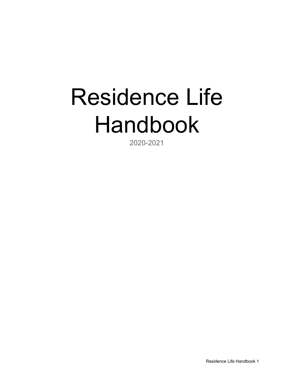# Residence Life Handbook

2020-2021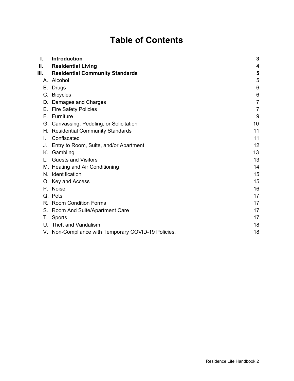# **Table of Contents**

| Ι. | Introduction                                        | 3               |
|----|-----------------------------------------------------|-----------------|
| Ш. | <b>Residential Living</b>                           | 4               |
| Ш. | <b>Residential Community Standards</b>              | 5               |
|    | A. Alcohol                                          | 5               |
|    | B. Drugs                                            | $6\phantom{1}6$ |
|    | C. Bicycles                                         | 6               |
| D. | Damages and Charges                                 | $\overline{7}$  |
|    | E. Fire Safety Policies                             | $\overline{7}$  |
|    | F. Furniture                                        | 9               |
|    | G. Canvassing, Peddling, or Solicitation            | 10              |
|    | H. Residential Community Standards                  | 11              |
| L. | Confiscated                                         | 11              |
| J. | Entry to Room, Suite, and/or Apartment              | 12              |
|    | K. Gambling                                         | 13              |
|    | <b>Guests and Visitors</b>                          | 13              |
|    | M. Heating and Air Conditioning                     | 14              |
|    | N. Identification                                   | 15              |
|    | O. Key and Access                                   | 15              |
|    | P. Noise                                            | 16              |
|    | Q. Pets                                             | 17              |
|    | R. Room Condition Forms                             | 17              |
|    | S. Room And Suite/Apartment Care                    | 17              |
| Т. | Sports                                              | 17              |
|    | U. Theft and Vandalism                              | 18              |
|    | V. Non-Compliance with Temporary COVID-19 Policies. | 18              |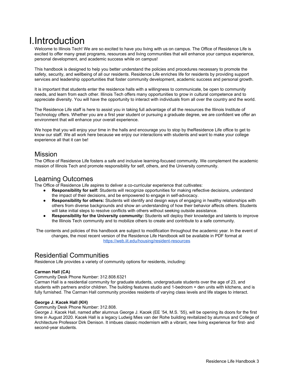# <span id="page-2-0"></span>I.Introduction

Welcome to Illinois Tech! We are so excited to have you living with us on campus. The Office of Residence Life is excited to offer many great programs, resources and living communities that will enhance your campus experience, personal development, and academic success while on campus!

This handbook is designed to help you better understand the policies and procedures necessary to promote the safety, security, and wellbeing of all our residents. Residence Life enriches life for residents by providing support services and leadership opportunities that foster community development, academic success and personal growth.

It is important that students enter the residence halls with a willingness to communicate, be open to community needs, and learn from each other. Illinois Tech offers many opportunities to grow in cultural competence and to appreciate diversity. You will have the opportunity to interact with individuals from all over the country and the world.

The Residence Life staff is here to assist you in taking full advantage of all the resources the Illinois Institute of Technology offers. Whether you are a first year student or pursuing a graduate degree, we are confident we offer an environment that will enhance your overall experience.

We hope that you will enjoy your time in the halls and encourage you to stop by theResidence Life office to get to know our staff. We all work here because we enjoy our interactions with students and want to make your college experience all that it can be!

## Mission

The Office of Residence Life fosters a safe and inclusive learning-focused community. We complement the academic mission of Illinois Tech and promote responsibility for self, others, and the University community.

## Learning Outcomes

The Office of Residence Life aspires to deliver a co-curricular experience that cultivates:

- **Responsibility for self:** Students will recognize opportunities for making reflective decisions, understand the impact of their decisions, and be empowered to engage in self-advocacy.
- **Responsibility for others:** Students will identify and design ways of engaging in healthy relationships with others from diverse backgrounds and show an understanding of how their behavior affects others. Students will take initial steps to resolve conflicts with others without seeking outside assistance.
- **Responsibility for the University community:** Students will deploy their knowledge and talents to improve the Illinois Tech community and to mobilize others to create and contribute to a safe community.

The contents and policies of this handbook are subject to modification throughout the academic year. In the event of changes, the most recent version of the Residence Life Handbook will be available in PDF format at <https://web.iit.edu/housing/resident-resources>

## Residential Communities

Residence Life provides a variety of community options for residents, including:

#### **Carman Hall (CA)**

#### Community Desk Phone Number: 312.808.6321

Carman Hall is a residential community for graduate students, undergraduate students over the age of 23, and students with partners and/or children. The building features studio and 1-bedroom + den units with kitchens, and is fully furnished. The Carman Hall community provides residents of varying class levels and life stages to interact.

#### **George J. Kacek Hall (KH)**

Community Desk Phone Number: 312.808.

George J. Kacek Hall, named after alumnus George J. Kacek (EE '54, M.S. '55), will be opening its doors for the first time in August 2020. Kacek Hall is a legacy Ludwig Mies van der Rohe building revitalized by alumnus and College of Architecture Professor Dirk Denison. It imbues classic modernism with a vibrant, new living experience for first- and second-year students.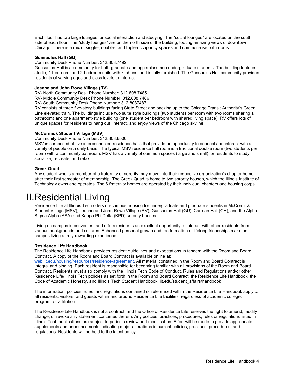Each floor has two large lounges for social interaction and studying. The "social lounges" are located on the south side of each floor. The "study lounges" are on the north side of the building, touting amazing views of downtown Chicago. There is a mix of single-, double-, and triple-occupancy spaces and common-use bathrooms.

#### **Gunsaulus Hall (GU)**

Community Desk Phone Number: 312.808.7492

Gunsaulus Hall is a community for both graduate and upperclassmen undergraduate students. The building features studio, 1-bedroom, and 2-bedroom units with kitchens, and is fully furnished. The Gunsaulus Hall community provides residents of varying ages and class levels to Interact.

#### **Jeanne and John Rowe Village (RV)**

RV- North Community Desk Phone Number: 312.808.7485

RV- Middle Community Desk Phone Number: 312.808.7486

RV- South Community Desk Phone Number: 312.8087487

RV consists of three five-story buildings facing State Street and backing up to the Chicago Transit Authority's Green Line elevated train. The buildings include two suite style buildings (two students per room with two rooms sharing a bathroom) and one apartment-style building (one student per bedroom with shared living space). RV offers lots of unique spaces for residents to hang out, interact, and enjoy views of the Chicago skyline.

#### **McCormick Student Village (MSV)**

Community Desk Phone Number: 312.808.6500

MSV is comprised of five interconnected residence halls that provide an opportunity to connect and interact with a variety of people on a daily basis. The typical MSV residence hall room is a traditional double room (two students per room) with a community bathroom. MSV has a variety of common spaces (large and small) for residents to study, socialize, recreate, and relax.

#### **Greek Quad**

Any student who is a member of a fraternity or sorority may move into their respective organization's chapter home after their first semester of membership. The Greek Quad is home to two sorority houses, which the Illinois Institute of Technology owns and operates. The 6 fraternity homes are operated by their individual chapters and housing corps.

## <span id="page-3-0"></span>II.Residential Living

Residence Life at Illinois Tech offers on-campus housing for undergraduate and graduate students in McCormick Student Village (MSV), Jeanne and John Rowe Village (RV), Gunsaulus Hall (GU), Carman Hall (CH), and the Alpha Sigma Alpha (ASA) and Kappa Phi Delta (KPD) sorority houses.

Living on campus is convenient and offers residents an excellent opportunity to interact with other residents from various backgrounds and cultures. Enhanced personal growth and the formation of lifelong friendships make on campus living a truly rewarding experience.

#### **Residence Life Handbook**

The Residence Life Handbook provides resident guidelines and expectations in tandem with the Room and Board Contract. A copy of the Room and Board Contract is available online at:

[web.iit.edu/housing/resources/residence-agreement](https://web.iit.edu/housing/rates-contract-terms). All material contained in the Room and Board Contract is integral and binding. Each resident is responsible for becoming familiar with all provisions of the Room and Board Contract. Residents must also comply with the Illinois Tech Code of Conduct, Rules and Regulations and/or other Residence Life/Illinois Tech policies as set forth in the Room and Board Contract, the Residence Life Handbook, the Code of Academic Honesty, and Illinois Tech Student Handbook: iit.edu/student\_affairs/handbook

The information, policies, rules, and regulations contained or referenced within the Residence Life Handbook apply to all residents, visitors, and guests within and around Residence Life facilities, regardless of academic college, program, or affiliation.

The Residence Life Handbook is not a contract, and the Office of Residence Life reserves the right to amend, modify, change, or revoke any statement contained therein. Any policies, practices, procedures, rules or regulations listed in Illinois Tech publications are subject to periodic review and modification. Effort will be made to provide appropriate supplements and announcements indicating major alterations in current policies, practices, procedures, and regulations. Residents will be held to the latest policy.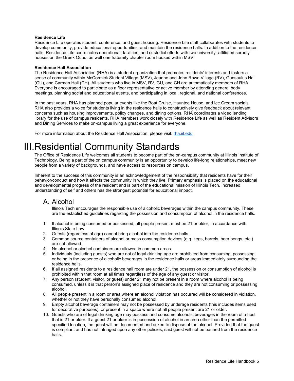#### **Residence Life**

Residence Life operates student, conference, and guest housing. Residence Life staff collaborates with students to develop community, provide educational opportunities, and maintain the residence halls. In addition to the residence halls, Residence Life coordinates operational, facilities, and custodial efforts with two university- affiliated sorority houses on the Greek Quad, as well one fraternity chapter room housed within MSV.

#### **Residence Hall Association**

The Residence Hall Association (RHA) is a student organization that promotes residents' interests and fosters a sense of community within McCormick Student Village (MSV), Jeanne and John Rowe Village (RV), Gunsaulus Hall (GU), and Carman Hall (CH). All students who live in MSV, RV, GU, and CH are automatically members of RHA. Everyone is encouraged to participate as a floor representative or active member by attending general body meetings, planning social and educational events, and participating in local, regional, and national conferences.

In the past years, RHA has planned popular events like the Boat Cruise, Haunted House, and Ice Cream socials. RHA also provides a voice for students living in the residence halls to constructively give feedback about relevant concerns such as housing improvements, policy changes, and dining options. RHA coordinates a video lending library for the use of campus residents. RHA members work closely with Residence Life as well as Resident Advisors and Dining Services to make on-campus living a great experience for everyone.

<span id="page-4-0"></span>For more information about the Residence Hall Association, please visit: [rha.iit.edu](https://hawklink.iit.edu/organization/RHA)

# III.Residential Community Standards

The Office of Residence Life welcomes all students to become part of the on-campus community at Illinois Institute of Technology. Being a part of the on campus community is an opportunity to develop life-long relationships, meet new people from a variety of backgrounds, and have access to resources on campus.

Inherent to the success of this community is an acknowledgement of the responsibility that residents have for their behavior/conduct and how it affects the community in which they live. Primary emphasis is placed on the educational and developmental progress of the resident and is part of the educational mission of Illinois Tech. Increased understanding of self and others has the strongest potential for educational impact.

## <span id="page-4-1"></span>A. Alcohol

Illinois Tech encourages the responsible use of alcoholic beverages within the campus community. These are the established guidelines regarding the possession and consumption of alcohol in the residence halls.

- 1. If alcohol is being consumed or possessed, all people present must be 21 or older, in accordance with Illinois State Law.
- 2. Guests (regardless of age) cannot bring alcohol into the residence halls.
- 3. Common source containers of alcohol or mass consumption devices (e.g. kegs, barrels, beer bongs, etc.) are not allowed.
- 4. No alcohol or alcohol containers are allowed in common areas.
- 5. Individuals (including guests) who are not of legal drinking age are prohibited from consuming, possessing, or being in the presence of alcoholic beverages in the residence halls or areas immediately surrounding the residence halls.
- 6. If all assigned residents to a residence hall room are under 21, the possession or consumption of alcohol is prohibited within that room at all times regardless of the age of any guest or visitor.
- 7. Any person (student, visitor, or guest) under 21 may not be present in a room where alcohol is being consumed, unless it is that person's assigned place of residence and they are not consuming or possessing alcohol.
- 8. All people present in a room or area where an alcohol violation has occurred will be considered in violation, whether or not they have personally consumed alcohol.
- 9. Empty alcohol beverage containers may not be possessed by underage residents (this includes items used for decorative purposes), or present in a space where not all people present are 21 or older.
- 10. Guests who are of legal drinking age may possess and consume alcoholic beverages in the room of a host that is 21 or older. If a guest 21 or older is in possession of alcohol in an area other than the permitted specified location, the guest will be documented and asked to dispose of the alcohol. Provided that the guest is compliant and has not infringed upon any other policies, said guest will not be banned from the residence halls.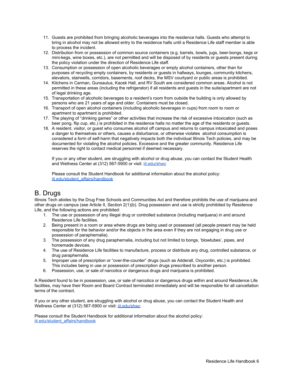- 11. Guests are prohibited from bringing alcoholic beverages into the residence halls. Guests who attempt to bring in alcohol may not be allowed entry to the residence halls until a Residence Life staff member is able to process the incident.
- 12. Distribution from or possession of common source containers (e.g. barrels, bowls, jugs, beer-bongs, kegs or mini-kegs, wine boxes, etc.), are not permitted and will be disposed of by residents or guests present during the policy violation under the direction of Residence Life staff.
- 13. Consumption or possession of open alcoholic beverages or empty alcohol containers, other than for purposes of recycling empty containers, by residents or guests in hallways, lounges, community kitchens, elevators, stairwells, corridors, basements, roof decks, the MSV courtyard or public areas is prohibited.
- 14. Kitchens in Carman, Gunsaulus, Kacek Hall, and RV South are considered common areas. Alcohol is not permitted in these areas (including the refrigerator) if all residents and guests in the suite/apartment are not of legal drinking age.
- 15. Transportation of alcoholic beverages to a resident's room from outside the building is only allowed by persons who are 21 years of age and older. Containers must be closed.
- 16. Transport of open alcohol containers (including alcoholic beverages in cups) from room to room or apartment to apartment is prohibited.
- 17. The playing of "drinking games" or other activities that increase the risk of excessive intoxication (such as beer pong, flip cup, etc.) is prohibited in the residence halls no matter the age of the residents or guests.
- 18. A resident, visitor, or guest who consumes alcohol off campus and returns to campus intoxicated and poses a danger to themselves or others, causes a disturbance, or otherwise violates alcohol consumption is considered a form of self-harm that negatively impacts both the individual Illinois Tech policies, and may be documented for violating the alcohol policies. Excessive and the greater community. Residence Life reserves the right to contact medical personnel if deemed necessary.

If you or any other student, are struggling with alcohol or drug abuse, you can contact the Student Health and Wellness Center at (312) 567-5900 or visit: [iit.edu/shwc](https://web.iit.edu/shwc)

Please consult the Student Handbook for additional information about the alcohol policy: [iit.edu/student\\_affairs/handbook](https://web.iit.edu/student-affairs/handbook)

## <span id="page-5-0"></span>B. Drugs

Illinois Tech abides by the Drug Free Schools and Communities Act and therefore prohibits the use of marijuana and other drugs on campus (see Article II, Section 2(1)(b). Drug possession and use is strictly prohibited by Residence Life, and the following actions are prohibited:

- 1. The use or possession of any illegal drug or controlled substance (including marijuana) in and around Residence Life facilities.
- 2. Being present in a room or area where drugs are being used or possessed (all people present may be held responsible for the behavior and/or the objects in the area even if they are not engaging in drug use or possession of paraphernalia).
- 3. The possession of any drug paraphernalia, including but not limited to bongs, 'blowtubes', pipes, and homemade devices.
- 4. The use of Residence Life facilities to manufacture, process or distribute any drug, controlled substance, or drug paraphernalia.
- 5. Improper use of prescription or "over-the-counter" drugs (such as Adderall, Oxycontin, etc.) is prohibited. This includes being in use or possession of prescription drugs prescribed to another person.
- 6. Possession, use, or sale of narcotics or dangerous drugs and marijuana is prohibited.

A Resident found to be in possession, use, or sale of narcotics or dangerous drugs within and around Residence Life facilities, may have their Room and Board Contract terminated immediately and will be responsible for all cancellation terms of the contract.

If you or any other student, are struggling with alcohol or drug abuse, you can contact the Student Health and Wellness Center at (312) 567-5900 or visit: *iit.edu/shwc* 

Please consult the Student Handbook for additional information about the alcohol policy: [iit.edu/student\\_affairs/handbook](https://web.iit.edu/student-affairs/handbook)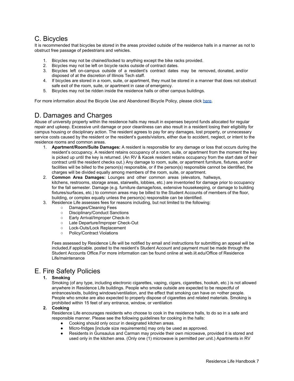## <span id="page-6-0"></span>C. Bicycles

It is recommended that bicycles be stored in the areas provided outside of the residence halls in a manner as not to obstruct free passage of pedestrians and vehicles.

- 1. Bicycles may not be chained/locked to anything except the bike racks provided.
- 2. Bicycles may not be left on bicycle racks outside of contract dates.
- 3. Bicycles left on-campus outside of a resident's contract dates may be removed, donated, and/or disposed of at the discretion of Illinois Tech staff.
- 4. If bicycles are stored in a room, suite, or apartment, they must be stored in a manner that does not obstruct safe exit of the room, suite, or apartment in case of emergency.
- 5. Bicycles may not be ridden inside the residence halls or other campus buildings.

For more information about the Bicycle Use and Abandoned Bicycle Policy, please click [here.](https://web.iit.edu/sites/web/files/departments/general-counsel/policies/procedure_c6_bike_policy_and_abandoned_bikes.pdf)

## <span id="page-6-1"></span>D. Damages and Charges

Abuse of university property within the residence halls may result in expenses beyond funds allocated for regular repair and upkeep. Excessive unit damage or poor cleanliness can also result in a resident losing their eligibility for campus housing or disciplinary action. The resident agrees to pay for any damages, lost property, or unnecessary service costs caused by the resident or the resident's guests/visitors, either due to accident, neglect, or intent to the residence rooms and common areas.

- 1. **Apartment/Room/Suite Damages:** A resident is responsible for any damage or loss that occurs during the resident's occupancy. A resident retains occupancy of a room, suite, or apartment from the moment the key is picked up until the key is returned. (An RV & Kacek resident retains occupancy from the start date of their contract until the resident checks out.) Any damage to room, suite, or apartment furniture, fixtures, and/or facilities will be billed to the person(s) responsible, or if the person(s) responsible cannot be identified, the charges will be divided equally among members of the room, suite, or apartment.
- 2. **Common Area Damages:** Lounges and other common areas (elevators, hallways, kitchens, restrooms, storage areas, stairwells, lobbies, etc.) are inventoried for damage prior to occupancy for the fall semester. Damage (e.g. furniture damage/loss, extensive housekeeping, or damage to building fixtures/surfaces, etc.) to common areas may be billed to the Student Accounts of members of the floor, building, or complex equally unless the person(s) responsible can be identified.
- 3. Residence Life assesses fees for reasons including, but not limited to the following:
	- Damages/Cleaning Fees
	- Disciplinary/Conduct Sanctions
	-
	- Early Arrival/Improper Check-In<br>○ Late Departure/Improper Check-○ Late Departure/Improper Check-Out<br>○ Lock-Outs/Lock Replacement
	- Lock-Outs/Lock Replacement
	- Policy/Contract Violations

Fees assessed by Residence Life will be notified by email and instructions for submitting an appeal will be included,if applicable. posted to the resident's Student Account and payment must be made through the Student Accounts Office.For more information can be found online at web.iit.edu/Office of Residence Life/maintenance

## <span id="page-6-2"></span>E. Fire Safety Policies

#### **1. Smoking**

Smoking (of any type, including electronic cigarettes, vaping, cigars, cigarettes, hookah, etc.) is not allowed anywhere in Residence Life buildings. People who smoke outside are expected to be respectful of entrances/exits, building windows/ventilation, and the effect that smoking can have on =other people. People who smoke are also expected to properly dispose of cigarettes and related materials. Smoking is prohibited within 15 feet of any entrance, window, or ventilation

#### **2. Cooking**

Residence Life encourages residents who choose to cook in the residence halls, to do so in a safe and responsible manner. Please see the following guidelines for cooking in the halls:

- Cooking should only occur in designated kitchen areas.
- Micro-fridges [include size requirements] may only be used as approved.
- Residents in Gunsaulus and Carman may provide their own microwave, provided it is stored and used only in the kitchen area. (Only one (1) microwave is permitted per unit.) Apartments in RV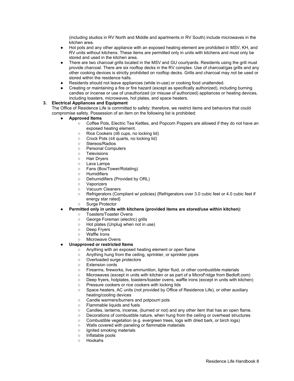(including studios in RV North and Middle and apartments in RV South) include microwaves in the kitchen area.

- Hot pots and any other appliance with an exposed heating element are prohibited in MSV, KH, and RV units without kitchens. These items are permitted only in units with kitchens and must only be stored and used in the kitchen area.
- There are two charcoal grills located in the MSV and GU courtyards. Residents using the grill must provide charcoal. There are six rooftop decks in the RV complex. Use of charcoal/gas grills and any other cooking devices is strictly prohibited on rooftop decks. Grills and charcoal may not be used or stored within the residence halls.
- Residents should not leave appliances (while in-use) or cooking food unattended.
- Creating or maintaining a fire or fire hazard (except as specifically authorized), including burning candles or incense or use of unauthorized (or misuse of authorized) appliances or heating devices, including toasters, microwaves, hot plates, and space heaters.

#### **3. Electrical Appliances and Equipment**

The Office of Residence Life is committed to safety; therefore, we restrict items and behaviors that could compromise safety. Possession of an item on the following list is prohibited:

- **● Approved Items**
	- Coffee Pots, Electric Tea Kettles, and Popcorn Poppers are allowed if they do not have an exposed heating element.
		- Rice Cookers (≤6 cups, no locking lid)
		- Crock Pots (≤4 quarts, no locking lid)
		- Stereos/Radios
		- Personal Computers
		- Televisions
		- Hair Dryers
		- Lava Lamps
		- Fans (Box/Tower/Rotating)
		- Humidifiers
		- Dehumidifiers (Provided by ORL)
		- Vaporizers
		- Vacuum Cleaners
		- Refrigerators (Compliant w/ policies) {Refrigerators over 3.0 cubic feet or 4.0 cubic feet if energy star rated}
		- Surge Protector
- **● Permitted only in units with kitchens (provided items are stored/use within kitchen):**
	- Toasters/Toaster Ovens
	- George Foreman (electric) grills
	- Hot plates (Unplug when not in use)
	- Deep Fryers
	- Waffle Irons
	- Microwave Ovens

#### **● Unapproved or restricted Items**

- Anything with an exposed heating element or open flame
- Anything hung from the ceiling, sprinkler, or sprinkler pipes
- Overloaded surge protectors
- Extension cords
- Firearms, fireworks, live ammunition, lighter fluid, or other combustible materials
- Microwaves (except in units with kitchen or as part of a MicroFridge from Bedloft.com)
- Deep fryers, hotplates, toasters/toaster ovens, waffle irons (except in units with kitchen)
- Pressure cookers or rice cookers with locking lids
- Space heaters, AC units (not provided by Office of Residence Life), or other auxiliary heating/cooling devices
- Candle warmers/burners and potpourri pots
- Flammable liquids and fuels
- Candles, lanterns, incense, (burned or not) and any other item that has an open flame.
- Decorations of combustible nature, when hung from the ceiling or overhead structures
- Combustible vegetation (e.g. evergreen trees, logs with dried bark, or birch logs)
- Walls covered with paneling or flammable materials
- Ignited smoking materials
- Inflatable pools
- Hookahs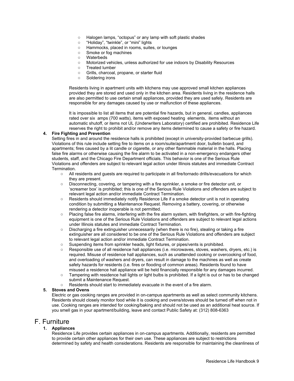- Halogen lamps, "octopus" or any lamp with soft plastic shades
- "Holiday", "twinkle", or "mini" lights
- Hammocks, placed in rooms, suites, or lounges
- Smoke or fog machines
- Waterbeds
- Motorized vehicles, unless authorized for use indoors by Disability Resources
- Treated lumber
- Grills, charcoal, propane, or starter fluid
- Soldering irons

Residents living in apartment units with kitchens may use approved small kitchen appliances provided they are stored and used only in the kitchen area. Residents living in the residence halls are also permitted to use certain small appliances, provided they are used safely. Residents are responsible for any damages caused by use or malfunction of these appliances.

It is impossible to list all items that are potential fire hazards, but in general, candles, appliances rated over six amps (700 watts), items with exposed heating elements, items without an automatic shutoff, or items not UL (Underwriters Laboratory) certified are prohibited. Residence Life reserves the right to prohibit and/or remove any items determined to cause a safety or fire hazard.

#### **4. Fire Fighting and Prevention**

Setting fires in and around the residence halls is prohibited (except in university-provided barbecue grills). Violations of this rule include setting fire to items on a room/suite/apartment door, bulletin board, and apartments; fires caused by a lit candle or cigarette, or any other flammable material in the halls. Placing false fire alarms or otherwise causing the fire alarm to be activated in a non-emergency endangers other students, staff, and the Chicago Fire Department officials. This behavior is one of the Serious Rule Violations and offenders are subject to relevant legal action under Illinois statutes and immediate Contract Termination.

- All residents and guests are required to participate in all fire/tornado drills/evacuations for which they are present.
- Disconnecting, covering, or tampering with a fire sprinkler, a smoke or fire detector unit, or 'screamer box' is prohibited; this is one of the Serious Rule Violations and offenders are subject to relevant legal action and/or immediate Contract Termination.
- Residents should immediately notify Residence Life if a smoke detector unit is not in operating condition by submitting a Maintenance Request. Removing a battery, covering, or otherwise rendering a detector inoperable is not permitted.
- Placing false fire alarms, interfering with the fire alarm system, with firefighters, or with fire-fighting equipment is one of the Serious Rule Violations and offenders are subject to relevant legal actions under Illinois statutes and immediate Contract Termination.
- Discharging a fire extinguisher unnecessarily (when there is no fire), stealing or taking a fire extinguisher are all considered to be one of the Serious Rule Violations and offenders are subject to relevant legal action and/or immediate Contract Termination.
- Suspending items from sprinkler heads, light fixtures, or pipes/vents is prohibited.
- Responsible use of all residence hall appliances (i.e. microwaves, stoves, washers, dryers, etc.) is required. Misuse of residence hall appliances, such as unattended cooking or overcooking of food, and overloading of washers and dryers, can result in damage to the machines as well as create safety hazards for residents (i.e. fires or flooding of common areas). Residents found to have misused a residence hall appliance will be held financially responsible for any damages incurred.
- Tampering with residence hall lights or light bulbs is prohibited. If a light is out or has to be changed submit a Maintenance Request.
- Residents should start to immediately evacuate in the event of a fire alarm.

#### **5. Stoves and Ovens**

Electric or gas cooking ranges are provided in on-campus apartments as well as select community kitchens. Residents should closely monitor food while it is cooking and ovens/stoves should be turned off when not in use. Cooking ranges are intended for cooking/baking and should not be used as an additional heat source. If you smell gas in your apartment/building, leave and contact Public Safety at: (312) 808-6363

## <span id="page-8-0"></span>F. Furniture

#### **1. Appliances**

Residence Life provides certain appliances in on-campus apartments. Additionally, residents are permitted to provide certain other appliances for their own use. These appliances are subject to restrictions determined by safety and health considerations. Residents are responsible for maintaining the cleanliness of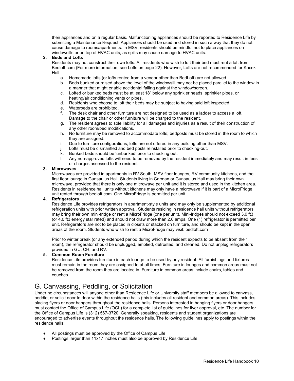their appliances and on a regular basis. Malfunctioning appliances should be reported to Residence Life by submitting a Maintenance Request. Appliances should be used and stored in such a way that they do not cause damage to rooms/apartments. In MSV, residents should be mindful not to place appliances on windowsills or on top of HVAC units, as spills may cause damage to HVAC units.

#### **2. Beds and Lofts**

Residents may not construct their own lofts. All residents who wish to loft their bed must rent a loft from Bedloft.com (For more information, see Lofts on page 22). However, Lofts are not recommended for Kacek Hall.

- a. Homemade lofts (or lofts rented from a vendor other than BedLoft) are not allowed.
- b. Beds bunked or raised above the level of the windowsill may not be placed parallel to the window in a manner that might enable accidental falling against the window/screen.
- c. Lofted or bunked beds must be at least 18" below any sprinkler heads, sprinkler pipes, or heating/air conditioning vents or pipes.
- d. Residents who choose to loft their beds may be subject to having said loft inspected.
- e. Waterbeds are prohibited.
- f. The desk chair and other furniture are not designed to be used as a ladder to access a loft. Damage to the chair or other furniture will be charged to the resident.
- g. The resident agrees to sole liability for all damages and injuries as a result of their construction of any other room/bed modifications.
- h. No furniture may be removed to accommodate lofts; bedposts must be stored in the room to which they are assigned.
- i. Due to furniture configurations, lofts are not offered in any building other than MSV.
- j. Lofts must be dismantled and bed posts reinstalled prior to checking-out.
- k. Bunked beds should be 'unbunked' prior to checking out.
- l. Any non-approved lofts will need to be removed by the resident immediately and may result in fees or charges assessed to the resident.

#### **3. Microwaves**

Microwaves are provided in apartments in RV South, MSV floor lounges, RV community kitchens, and the first floor lounge in Gunsaulus Hall. Students living in Carman or Gunsaulus Hall may bring their own microwave, provided that there is only one microwave per unit and it is stored and used in the kitchen area. Residents in residence hall units without kitchens may only have a microwave if it is part of a MicroFridge unit rented through bedloft.com. One MicroFridge is permitted per unit.

#### **4. Refrigerators**

Residence Life provides refrigerators in apartment-style units and may only be supplemented by additional refrigeration units with prior written approval. Students residing in residence hall units without refrigerators may bring their own mini-fridge or rent a MicroFridge (one per unit). Mini-fridges should not exceed 3.0 ft3 (or 4.0 ft3 energy star rated) and should not draw more than 2.0 amps. One (1) refrigerator is permitted per unit. Refrigerators are not to be placed in closets or stacked on furniture, and should be kept in the open areas of the room. Students who wish to rent a MicroFridge may visit: bedloft.com

Prior to winter break (or any extended period during which the resident expects to be absent from their room), the refrigerator should be unplugged, emptied, defrosted, and cleaned. Do not unplug refrigerators provided in GU, CH, and RV.

#### **5. Common Room Furniture**

Residence Life provides furniture in each lounge to be used by any resident. All furnishings and fixtures must remain in the room they are assigned to at all times. Furniture in lounges and common areas must not be removed from the room they are located in. Furniture in common areas include chairs, tables and couches.

## <span id="page-9-0"></span>G. Canvassing, Peddling, or Solicitation

Under no circumstances will anyone other than Residence Life or University staff members be allowed to canvass, peddle, or solicit door to door within the residence halls (this includes all resident and common areas). This includes placing flyers or door hangers throughout the residence halls. Persons interested in hanging flyers or door hangers must contact the Office of Campus Life (OCL) for a complete list of guidelines for flyer approval, etc. The number for the Office of Campus Life is (312) 567-3720. Generally speaking, residents and student organizations are encouraged to advertise events throughout the residence halls. The following guidelines apply to postings within the residence halls:

- All postings must be approved by the Office of Campus Life.
- Postings larger than 11x17 inches must also be approved by Residence Life.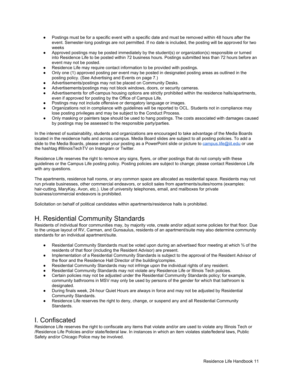- Postings must be for a specific event with a specific date and must be removed within 48 hours after the event. Semester-long postings are not permitted. If no date is included, the posting will be approved for two weeks
- Approved postings may be posted immediately by the student(s) or organization(s) responsible or turned into Residence Life to be posted within 72 business hours. Postings submitted less than 72 hours before an event may not be posted.
- Residence Life may require contact information to be provided with postings.
- Only one (1) approved posting per event may be posted in designated posting areas as outlined in the posting policy. (See Advertising and Events on page 7.)
- Advertisements/postings may not be placed on Community Desks.
- Advertisements/postings may not block windows, doors, or security cameras.
- Advertisements for off-campus housing options are strictly prohibited within the residence halls/apartments, even if approved for posting by the Office of Campus Life.
- Postings may not include offensive or derogatory language or images.
- Organizations not in compliance with guidelines will be reported to OCL. Students not in compliance may lose posting privileges and may be subject to the Conduct Process.
- Only masking or painters tape should be used to hang postings. The costs associated with damages caused by postings may be assessed to the responsible party/parties.

In the interest of sustainability, students and organizations are encouraged to take advantage of the Media Boards located in the residence halls and across campus. Media Board slides are subject to all posting policies. To add a slide to the Media Boards, please email your posting as a PowerPoint slide or picture to [campus.life@iit.edu](mailto:campus.life@iit.edu) or use the hashtag #IllinoisTechTV on Instagram or Twitter.

Residence Life reserves the right to remove any signs, flyers, or other postings that do not comply with these guidelines or the Campus Life posting policy. Posting policies are subject to change; please contact Residence Life with any questions.

The apartments, residence hall rooms, or any common space are allocated as residential space. Residents may not run private businesses, other commercial endeavors, or solicit sales from apartments/suites/rooms (examples: hair-cutting, MaryKay, Avon, etc.). Use of university telephones, email, and mailboxes for private business/commercial endeavors is prohibited.

Solicitation on behalf of political candidates within apartments/residence halls is prohibited.

## <span id="page-10-0"></span>H. Residential Community Standards

Residents of individual floor communities may, by majority vote, create and/or adjust some policies for that floor. Due to the unique layout of RV, Carman, and Gunsaulus, residents of an apartment/suite may also determine community standards for an individual apartment/suite.

- Residential Community Standards must be voted upon during an advertised floor meeting at which  $\frac{3}{4}$  of the residents of that floor (including the Resident Advisor) are present.
- Implementation of a Residential Community Standards is subject to the approval of the Resident Advisor of the floor and the Residence Hall Director of the building/complex.
- Residential Community Standards may not infringe upon the individual rights of any resident.
- Residential Community Standards may not violate any Residence Life or Illinois Tech policies.
- Certain policies may not be adjusted under the Residential Community Standards policy; for example, community bathrooms in MSV may only be used by persons of the gender for which that bathroom is designated.
- During finals week, 24-hour Quiet Hours are always in force and may not be adjusted by Residential Community Standards.
- Residence Life reserves the right to deny, change, or suspend any and all Residential Community Standards.

## <span id="page-10-1"></span>I. Confiscated

Residence Life reserves the right to confiscate any items that violate and/or are used to violate any Illinois Tech or /Residence Life Policies and/or state/federal law. In instances in which an item violates state/federal laws, Public Safety and/or Chicago Police may be involved.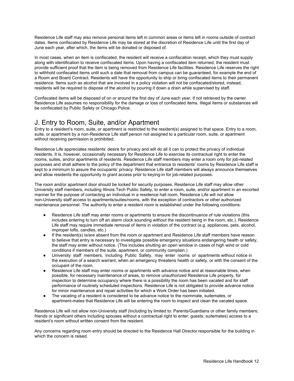Residence Life staff may also remove personal items left in common areas or items left in rooms outside of contract dates. Items confiscated by Residence Life may be stored at the discretion of Residence Life until the first day of June each year, after which, the items will be donated or disposed of.

In most cases, when an item is confiscated, the resident will receive a confiscation receipt, which they must supply along with identification to receive confiscated items. Upon having a confiscated item returned, the resident must provide sufficient proof that the item is being removed from Residence Life facilities. Residence Life reserves the right to withhold confiscated items until such a date that removal from campus can be guaranteed, for example the end of a Room and Board Contract. Residents will have the opportunity to ship or bring confiscated items to their permanent residence. Items such as alcohol that are involved in a policy violation will not be confiscated/stored, instead, residents will be required to dispose of the alcohol by pouring it down a drain while supervised by staff.

Confiscated items will be disposed of on or around the first day of June each year, if not retrieved by the owner. Residence Life assumes no responsibility for the damage or loss of confiscated items. Illegal items or substances will be confiscated by Public Safety or Chicago Police.

## <span id="page-11-0"></span>J. Entry to Room, Suite, and/or Apartment

Entry to a resident's room, suite, or apartment is restricted to the resident(s) assigned to that space. Entry to a room, suite, or apartment by a non-Residence Life staff person not assigned to a particular room, suite, or apartment without receiving permission is prohibited.

Residence Life appreciates residents' desire for privacy and will do all it can to protect the privacy of individual residents. It is, however, occasionally necessary for Residence Life to exercise its contractual right to enter the rooms, suites, and/or apartments of residents. Residence Life staff members may enter a room only for job-related purposes and shall adhere to the policy of the department that entrance to residents' rooms by Residence Life staff is kept to a minimum to assure the occupants' privacy. Residence Life staff members will always announce themselves and allow residents the opportunity to grant access prior to keying-in for job-related purposes.

The room and/or apartment door should be locked for security purposes. Residence Life staff may allow other University staff members, including Illinois Tech Public Safety, to enter a room, suite, and/or apartment in an escorted manner for the purpose of contacting an individual in a residence hall room. Residence Life will not allow non-University staff access to apartments/suites/rooms, with the exception of contractors or other authorized maintenance personnel. The authority to enter a resident room is established under the following conditions:

- Residence Life staff may enter rooms or apartments to ensure the discontinuance of rule violations (this includes entering to turn off an alarm clock sounding without the resident being in the room, etc.). Residence Life staff may require immediate removal of items in violation of the contract (e.g. appliances, pets, alcohol, improper lofts, candles, etc.)
- If the resident(s) is/are absent from the room or apartment and Residence Life staff members have reason to believe that entry is necessary to investigate possible emergency situations endangering health or safety, the staff may enter without notice. (This includes shutting an open window in cases of high wind or cold conditions if members of the suite, apartment, or community complain.)
- University staff members, including Public Safety, may enter rooms or apartments without notice in the execution of a search warrant, when an emergency threatens health or safety, or with the consent of the occupant of the room.
- Residence Life staff may enter rooms or apartments with advance notice and at reasonable times, when possible, for necessary maintenance of areas, to remove unauthorized Residence Life property, for inspection to determine occupancy where there is a possibility the room has been vacated and for staff performance of routinely scheduled inspections. Residence Life is not obligated to provide advance notice for minor maintenance and repair activities for which a Work Order has been initiated.
- The vacating of a resident is considered to be advance notice to the roommate, suitemates, or apartment-mates that Residence Life will be entering the room to inspect and clean the vacated space.

Residence Life will not allow non-University staff (Including by limited to: Parents/Guardians or other family members; friends or significant others including spouses without a contractual right to enter; guests; suitemates) access to a resident's room without written consent from the resident.

Any concerns regarding room entry should be directed to the Residence Hall Director responsible for the building in which the concern is raised.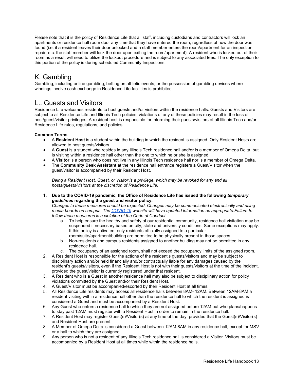Please note that it is the policy of Residence Life that all staff, including custodians and contractors will lock an apartments or residence hall room door any time that they have entered the room, regardless of how the door was found (i.e. if a resident leaves their door unlocked and a staff member enters the room/apartment for an inspection, repair, etc. the staff member will lock the door upon exiting the room/apartment). A resident who is locked out of their room as a result will need to utilize the lockout procedure and is subject to any associated fees. The only exception to this portion of the policy is during scheduled Community Inspections.

## <span id="page-12-0"></span>K. Gambling

Gambling, including online gambling, betting on athletic events, or the possession of gambling devices where winnings involve cash exchange in Residence Life facilities is prohibited.

## <span id="page-12-1"></span>L.. Guests and Visitors

Residence Life welcomes residents to host guests and/or visitors within the residence halls. Guests and Visitors are subject to all Residence Life and Illinois Tech policies, violations of any of these policies may result in the loss of host/guest/visitor privileges. A resident host is responsible for informing their guests/visitors of all Illinois Tech and/or Residence Life rules, regulations, and policies.

#### **Common Terms**

- A **Resident Host** is a student within the building in which the resident is assigned. Only Resident Hosts are allowed to host quests/visitors.
- A **Guest** is a student who resides in any Illinois Tech residence hall and/or is a member of Omega Delta but is visiting within a residence hall other than the one to which he or she is assigned.
- A Visitor is a person who does not live in any Illinois Tech residence hall nor is a member of Omega Delta.
- The **Community Desk Assistant** at the residence hall entrance registers a Guest/Visitor when the guest/visitor is accompanied by their Resident Host.

*Being a Resident Host, Guest, or Visitor is a privilege, which may be revoked for any and all hosts/guests/visitors at the discretion of Residence Life*.

**1. Due to the COVID-19 pandemic, the Office of Residence Life has issued the following** *temporary guidelines* **regarding the guest and visitor policy.**

*Changes to these measures should be expected. Changes may be communicated electronically and using media boards on campus. The [COVID-19](https://www.iit.edu/COVID-19) website will have updated information as appropriate.Failure to follow these measures is a violation of the Code of Conduct.*

- a. To help ensure the healthy and safety of our residential community, residence hall visitation may be suspended if necessary based on city, state and university conditions. Some exceptions may apply. If this policy is activated, only residents officially assigned to a particular room/suite/apartment/building are permitted to be physically present in those spaces.
- b. Non-residents and campus residents assigned to another building may not be permitted in any residence hall.
- c. The occupancy of an assigned room, shall not exceed the occupancy limits of the assigned room.
- 2. A Resident Host is responsible for the actions of the resident's guests/visitors and may be subject to disciplinary action and/or held financially and/or contractually liable for any damages caused by the resident's guests/visitors, even if the Resident Host is not with their guests/visitors at the time of the incident, provided the guest/visitor is currently registered under that resident.
- 3. A Resident who is a Guest in another residence hall may also be subject to disciplinary action for policy violations committed by the Guest and/or their Resident Host.
- 4. A Guest/Visitor must be accompanied/escorted by their Resident Host at all times.
- 5. All Residence Life residents may access all residence halls between 8AM- 12AM. Between 12AM-8AM a resident visiting within a residence hall other than the residence hall to which the resident is assigned is considered a Guest and must be accompanied by a Resident Host.
- 6. Any Guest who enters a residence hall to which they are not assigned before 12AM but who plans/happens to stay past 12AM must register with a Resident Host in order to remain in the residence hall.
- 7. A Resident Host may register Guest(s)/Visitor(s) at any time of the day, provided that the Guest(s)/Visitor(s) and Resident Host are present.
- 8. A Member of Omega Delta is considered a Guest between 12AM-8AM in any residence hall, except for MSV or a hall to which they are assigned.
- 9. Any person who is not a resident of any Illinois Tech residence hall is considered a Visitor. Visitors must be accompanied by a Resident Host at all times while within the residence halls.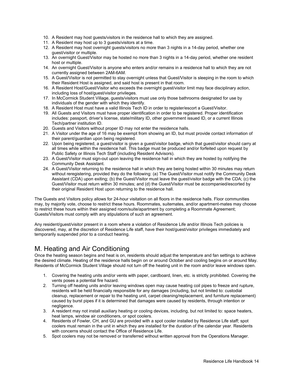- 10. A Resident may host guests/visitors in the residence hall to which they are assigned.
- 11. A Resident may host up to 3 guests/visitors at a time.
- 12. A Resident may host overnight guests/visitors no more than 3 nights in a 14-day period, whether one guest/visitor or multiple.
- 13. An overnight Guest/Visitor may be hosted no more than 3 nights in a 14-day period, whether one resident host or multiple.
- 14. An overnight Guest/Visitor is anyone who enters and/or remains in a residence hall to which they are not currently assigned between 2AM-6AM.
- 15. A Guest/Visitor is not permitted to stay overnight unless that Guest/Visitor is sleeping in the room to which their Resident Host is assigned, and said host is present in that room.
- 16. A Resident Host/Guest/Visitor who exceeds the overnight guest/visitor limit may face disciplinary action, including loss of host/guest/visitor privileges.
- 17. In McCormick Student Village, guests/visitors must use only those bathrooms designated for use by individuals of the gender with which they identify.
- 18. A Resident Host must have a valid Illinois Tech ID in order to register/escort a Guest/Visitor.
- 19. All Guests and Visitors must have proper identification in order to be registered. Proper identification includes: passport, driver's license, state/military ID, other government issued ID, or a current Illinois Tech/partner institution ID.
- 20. Guests and Visitors without proper ID may not enter the residence halls.
- 21. A Visitor under the age of 16 may be exempt from showing an ID, but must provide contact information of their parent/guardian upon being registered.
- 22. Upon being registered, a guest/visitor is given a guest/visitor badge, which that guest/visitor should carry at all times while within the residence hall. This badge must be produced and/or forfeited upon request by Public Safety or Illinois Tech Staff (including Resident Advisors).
- 23. A Guest/Visitor must sign-out upon leaving the residence hall in which they are hosted by notifying the Community Desk Assistant.
- 24. A Guest/Visitor returning to the residence hall in which they are being hosted within 30 minutes may return without reregistering, provided they do the following: (a) The Guest/Visitor must notify the Community Desk Assistant (CDA) upon exiting; (b) the Guest/Visitor must leave the guest/visitor badge with the CDA; (c) the Guest/Visitor must return within 30 minutes; and (d) the Guest/Visitor must be accompanied/escorted by their original Resident Host upon returning to the residence hall.

The Guests and Visitors policy allows for 24-hour visitation on all floors in the residence halls. Floor communities may, by majority vote, choose to restrict these hours. Roommates, suitemates, and/or apartment-mates may choose to restrict these hours within their assigned room/suite/apartment by completing a Roommate Agreement; Guests/Visitors must comply with any stipulations of such an agreement.

Any resident/guest/visitor present in a room where a violation of Residence Life and/or Illinois Tech policies is discovered, may, at the discretion of Residence Life staff, have their host/guest/visitor privileges immediately and temporarily suspended prior to a conduct hearing.

## <span id="page-13-0"></span>M. Heating and Air Conditioning

Once the heating season begins and heat is on, residents should adjust the temperature and fan settings to achieve the desired climate. Heating of the residence halls begin on or around October and cooling begins on or around May. Residents of McCormick Student Village should not turn off the heating unit in the room and/or leave windows open.

- 1. Covering the heating units and/or vents with paper, cardboard, linen, etc. is strictly prohibited. Covering the vents poses a potential fire hazard.
- 2. Turning off heating units and/or leaving windows open may cause heating coil pipes to freeze and rupture, residents will be held financially responsible for any damages (including, but not limited to: custodial cleanup, replacement or repair to the heating unit, carpet cleaning/replacement, and furniture replacement) caused by burst pipes if it is determined that damages were caused by residents, through intention or negligence.
- 3. A resident may not install auxiliary heating or cooling devices, including, but not limited to: space heaters, heat lamps, window air conditioners, or spot coolers.
- 4. Residents of Fowler, CH, and GU are provided with a spot cooler installed by Residence Life staff; spot coolers must remain in the unit in which they are installed for the duration of the calendar year. Residents with concerns should contact the Office of Residence Life.
- 5. Spot coolers may not be removed or transferred without written approval from the Operations Manager.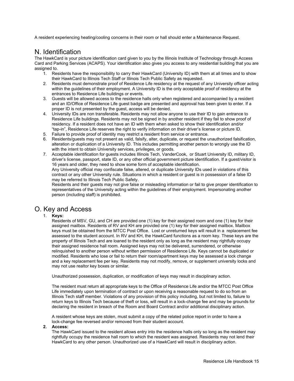A resident experiencing heating/cooling concerns in their room or hall should enter a Maintenance Request.

## <span id="page-14-0"></span>N. Identification

The HawkCard is your picture identification card given to you by the Illinois Institute of Technology through Access Card and Parking Services (ACAPS). Your identification also gives you access to any residential building that you are assigned to.

- 1. Residents have the responsibility to carry their HawkCard (University ID) with them at all times and to show their HawkCard to Illinois Tech Staff or Illinois Tech Public Safety as requested.
- 2. Residents must demonstrate proof of Residence Life residency at the request of any University officer acting within the guidelines of their employment. A University ID is the only acceptable proof of residency at the entrances to Residence Life buildings or events.
- 3. Guests will be allowed access to the residence halls only when registered and accompanied by a resident and an ID/Office of Residence Life guest badge are presented and approval has been given to enter. If a proper ID is not presented by the guest, access will be denied.
- 4. University IDs are non transferable. Residents may not allow anyone to use their ID to gain entrance to Residence Life buildings. Residents may not be signed in by another resident if they fail to show proof of residency. If a resident does not have an ID with them when asked to show their identification and/or "tap-in", Residence Life reserves the right to verify information on their driver's license or picture ID.
- 5. Failure to provide proof of identity may restrict a resident from service or entrance.
- 6. Residents/guests may not present as valid, falsify, alter, duplicate, or request the unauthorized falsification, alteration or duplication of a University ID. This includes permitting another person to wrongly use the ID with the intent to obtain University services, privileges, or goods.
- 7. Acceptable identification for guests includes Illinois Tech, VanderCook, or Stuart University ID, military ID, driver's license, passport, state ID, or any other official government picture identification. If a guest/visitor is 16 years and older, they need to show some form of acceptable identification. Any University official may confiscate false, altered, or duplicate University IDs used in violations of this

contract or any other University rule. Situations in which a resident or guest is in possession of a false ID may be referred to Illinois Tech Public Safety.

Residents and their guests may not give false or misleading information or fail to give proper identification to representatives of the University acting within the guidelines of their employment. Impersonating another person (including staff) is prohibited.

## <span id="page-14-1"></span>O. Key and Access

#### 1. **Keys:**

Residents of MSV, GU, and CH are provided one (1) key for their assigned room and one (1) key for their assigned mailbox. Residents of RV and KH are provided one (1) key for their assigned mailbox. Mailbox keys must be obtained from the MTCC Post Office. Lost or unreturned keys will result in a replacement fee assessed to the student account. In RV and KH, the HawkCard functions as a room key. These keys are the property of Illinois Tech and are loaned to the resident only as long as the resident may rightfully occupy their assigned residence hall room. Assigned keys may not be delivered, surrendered, or otherwise relinquished to another person without written permission of Residence Life. Keys cannot be duplicated or modified. Residents who lose or fail to return their room/apartment keys may be assessed a lock change and a key replacement fee per key. Residents may not modify, remove, or supplement university locks and may not use realtor key boxes or similar.

Unauthorized possession, duplication, or modification of keys may result in disciplinary action.

The resident must return all appropriate keys to the Office of Residence Life and/or the MTCC Post Office Life immediately upon termination of contract or upon receiving a reasonable request to do so from an Illinois Tech staff member. Violations of any provision of this policy including, but not limited to, failure to return keys to Illinois Tech because of theft or loss, will result in a lock-change fee and may be grounds for declaring the resident in breach of the Room and Board Contract and/or additional disciplinary action.

A resident whose keys are stolen, must submit a copy of the related police report in order to have a lock-change fee reversed and/or removed from their student account.

#### **2. Access:**

The HawkCard issued to the resident allows entry into the residence halls only so long as the resident may rightfully occupy the residence hall room to which the resident was assigned. Residents may not lend their HawkCard to any other person. Unauthorized use of a HawkCard will result in disciplinary action.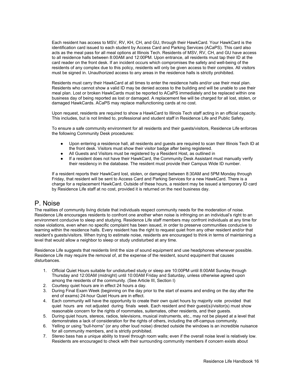Each resident has access to MSV, RV, KH, CH, and GU, through their HawkCard. Your HawkCard is the identification card issued to each student by Access Card and Parking Services (ACaPS). This card also acts as the meal pass for all meal options at Illinois Tech. Residents of MSV, RV, CH, and GU have access to all residence halls between 8:00AM and 12:00PM. Upon entrance, all residents must tap their ID at the card reader on the front desk. If an incident occurs which compromises the safety and well-being of the residents of any complex due to this policy, residents will only be given access to their complex. All visitors must be signed in. Unauthorized access to any areas in the residence halls is strictly prohibited.

Residents must carry their HawkCard at all times to enter the residence halls and/or use their meal plan. Residents who cannot show a valid ID may be denied access to the building and will be unable to use their meal plan. Lost or broken HawkCards must be reported to ACaPS immediately and be replaced within one business day of being reported as lost or damaged. A replacement fee will be charged for all lost, stolen, or damaged HawkCards. ACaPS may replace malfunctioning cards at no cost.

Upon request, residents are required to show a HawkCard to Illinois Tech staff acting in an official capacity. This includes, but is not limited to, professional and student staff in Residence Life and Public Safety.

To ensure a safe community environment for all residents and their guests/visitors, Residence Life enforces the following Community Desk procedures:

- Upon entering a residence hall, all residents and guests are required to scan their Illinois Tech ID at the front desk. Visitors must show their visitor badge after being registered.
- All Guests and Visitors must be registered by a Resident Host, as outlined in
- If a resident does not have their HawkCard, the Community Desk Assistant must manually verify their residency in the database. The resident must provide their Campus Wide ID number.

If a resident reports their HawkCard lost, stolen, or damaged between 8:30AM and 5PM Monday through Friday, that resident will be sent to Access Card and Parking Services for a new HawkCard. There is a charge for a replacement HawkCard. Outside of these hours, a resident may be issued a temporary ID card by Residence Life staff at no cost, provided it is returned on the next business day.

## <span id="page-15-0"></span>P. Noise

The realities of community living dictate that individuals respect community needs for the moderation of noise. Residence Life encourages residents to confront one another when noise is infringing on an individual's right to an environment conducive to sleep and studying. Residence Life staff members may confront individuals at any time for noise violations, even when no specific complaint has been issued, in order to preserve communities conducive to learning within the residence halls. Every resident has the right to request quiet from any other resident and/or that resident's guests/visitors. When trying to estimate noise, residents are encouraged to think in terms of maintaining a level that would allow a neighbor to sleep or study undisturbed at any time.

Residence Life suggests that residents limit the size of sound equipment and use headphones whenever possible. Residence Life may require the removal of, at the expense of the resident, sound equipment that causes disturbances.

- 1. Official Quiet Hours suitable for undisturbed study or sleep are 10:00PM until 8:00AM Sunday through Thursday and 12:00AM (midnight) until 10:00AM Friday and Saturday, unless otherwise agreed upon among the residents of the community. (See Article III, Section I)
- 2. Courtesy quiet hours are in effect 24 hours a day.
- 3. During Final Exam Week (beginning on the day prior to the start of exams and ending on the day after the end of exams) 24-hour Quiet Hours are in effect.
- 4. Each community will have the opportunity to create their own quiet hours by majority vote provided that quiet hours are not adjusted during finals week. Each resident and their guest(s)/visitor(s) must show reasonable concern for the rights of roommates, suitemates, other residents, and their guests.
- 5. During quiet hours, stereos, radios, televisions, musical instruments, etc., may not be played at a level that demonstrates a lack of consideration for the rights of others, including the off-campus community.
- 6. Yelling or using "bull-horns" (or any other loud noise) directed outside the windows is an incredible nuisance for all community members, and is strictly prohibited.
- 7. Stereo bass has a unique ability to travel through room walls; even if the overall noise level is relatively low. Residents are encouraged to check with their surrounding community members if concern exists about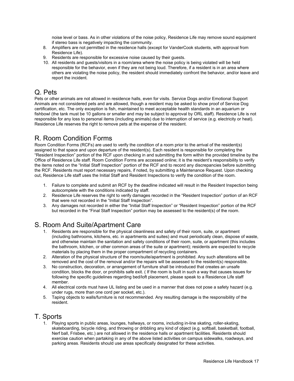noise level or bass. As in other violations of the noise policy, Residence Life may remove sound equipment if stereo bass is negatively impacting the community.

- 8. Amplifiers are not permitted in the residence halls (except for VanderCook students, with approval from Residence Life).
- 9. Residents are responsible for excessive noise caused by their guests.
- 10. All residents and guests/visitors in a room/area where the noise policy is being violated will be held responsible for the behavior, even if they are not being loud. Therefore, if a resident is in an area where others are violating the noise policy, the resident should immediately confront the behavior, and/or leave and report the incident.

## <span id="page-16-0"></span>Q. Pets

Pets or other animals are not allowed in residence halls, even for visits. Service Dogs and/or Emotional Support Animals are not considered pets and are allowed, though a resident may be asked to show proof of Service Dog certification, etc. The only exception is fish, maintained to meet acceptable health standards in an aquarium or fishbowl (the tank must be 10 gallons or smaller and may be subject to approval by ORL staff). Residence Life is not responsible for any loss to personal items (including animals) due to interruption of service (e.g. electricity or heat). Residence Life reserves the right to remove pets at the expense of the resident.

## <span id="page-16-1"></span>R. Room Condition Forms

Room Condition Forms (RCFs) are used to verify the condition of a room prior to the arrival of the resident(s) assigned to that space and upon departure of the resident(s). Each resident is responsible for completing the "Resident Inspection" portion of the RCF upon checking in and submitting the form within the provided timeline by the Office of Residence Life staff. Room Condition Forms are accessed online; it is the resident's responsibility to verify the items noted on the "Initial Staff Inspection" portion of the RCF and to record any discrepancies before submitting the RCF. Residents must report necessary repairs, if noted, by submitting a Maintenance Request. Upon checking out, Residence Life staff uses the Initial Staff and Resident Inspections to verify the condition of the room.

- 1. Failure to complete and submit an RCF by the deadline indicated will result in the Resident Inspection being autocomplete with the conditions indicated by staff.
- 2. Residence Life reserves the right to verify damages recorded in the "Resident Inspection" portion of an RCF that were not recorded in the "Initial Staff Inspection".
- 3. Any damages not recorded in either the "Initial Staff Inspection" or "Resident Inspection" portion of the RCF but recorded in the "Final Staff Inspection" portion may be assessed to the resident(s) of the room.

## <span id="page-16-2"></span>S. Room And Suite/Apartment Care

- 1. Residents are responsible for the physical cleanliness and safety of their room, suite, or apartment (including bathrooms, kitchens, etc. in apartments and suites) and must periodically clean, dispose of waste, and otherwise maintain the sanitation and safety conditions of their room, suite, or apartment (this includes the bathroom, kitchen, or other common areas of the suite or apartment); residents are expected to recycle materials by placing them in the proper compartment of recycling containers.
- 2. Alteration of the physical structure of the room/suite/apartment is prohibited. Any such alterations will be removed and the cost of the removal and/or the repairs will be assessed to the resident(s) responsible.
- 3. No construction, decoration, or arrangement of furniture shall be introduced that creates an unsafe condition, blocks the door, or prohibits safe exit. ( If the room is built in such a way that causes issues for following the specific guidelines regarding bed/loft placement, please speak to a Residence Life staff member.
- 4. All electrical cords must have UL listing and be used in a manner that does not pose a safety hazard (e.g. under rugs, more than one cord per socket, etc.).
- 5. Taping objects to walls/furniture is not recommended. Any resulting damage is the responsibility of the resident.

## <span id="page-16-3"></span>T. Sports

1. Playing sports in public areas, lounges, hallways, or rooms, including in-line skating, roller-skating, skateboarding, bicycle riding, and throwing or dribbling any kind of object (e.g. softball, basketball, football, Nerf ball, Frisbee, etc.) are not allowed in the residence halls or apartment facilities. Residents should exercise caution when partaking in any of the above listed activities on campus sidewalks, roadways, and parking areas. Residents should use areas specifically designated for these activities.